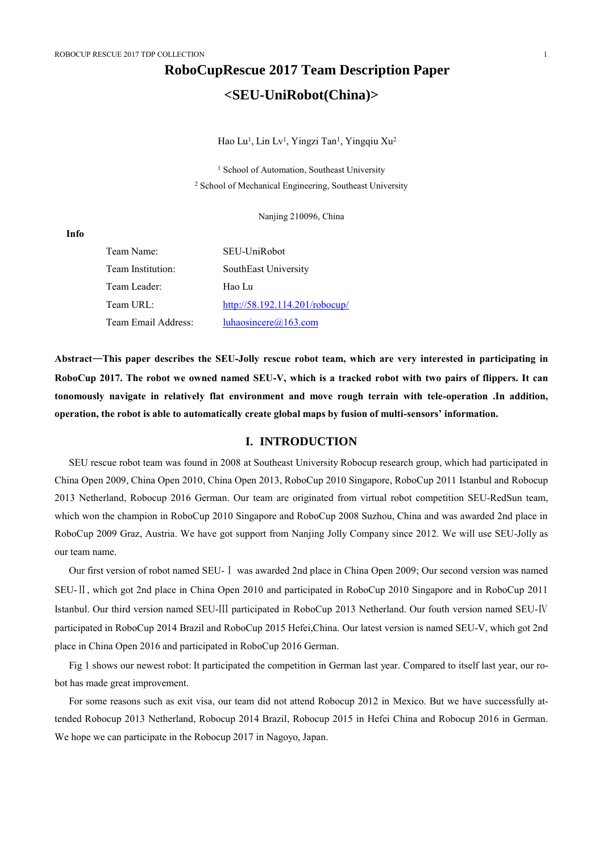# **RoboCupRescue 2017 Team Description Paper <SEU-UniRobot(China)>**

Hao Lu<sup>1</sup>, Lin Lv<sup>1</sup>, Yingzi Tan<sup>1</sup>, Yingqiu Xu<sup>2</sup>

<sup>1</sup> School of Automation, Southeast University <sup>2</sup> School of Mechanical Engineering, Southeast University

Nanjing 210096, China

**Info**

| Team Name:          | SEU-UniRobot                   |
|---------------------|--------------------------------|
| Team Institution:   | SouthEast University           |
| Team Leader:        | Hao Lu                         |
| Team URL:           | http://58.192.114.201/robocup/ |
| Team Email Address: | luhaosincere@163.com           |

**Abstract**—**This paper describes the SEU-Jolly rescue robot team, which are very interested in participating in RoboCup 2017. The robot we owned named SEU-V, which is a tracked robot with two pairs of flippers. It can tonomously navigate in relatively flat environment and move rough terrain with tele-operation .In addition, operation, the robot is able to automatically create global maps by fusion of multi-sensors' information.**

## **I. INTRODUCTION**

SEU rescue robot team was found in 2008 at Southeast University Robocup research group, which had participated in China Open 2009, China Open 2010, China Open 2013, RoboCup 2010 Singapore, RoboCup 2011 Istanbul and Robocup 2013 Netherland, Robocup 2016 German. Our team are originated from virtual robot competition SEU-RedSun team, which won the champion in RoboCup 2010 Singapore and RoboCup 2008 Suzhou, China and was awarded 2nd place in RoboCup 2009 Graz, Austria. We have got support from Nanjing Jolly Company since 2012. We will use SEU-Jolly as our team name.

Our first version of robot named SEU-Ⅰ was awarded 2nd place in China Open 2009; Our second version was named SEU-Ⅱ, which got 2nd place in China Open 2010 and participated in RoboCup 2010 Singapore and in RoboCup 2011 Istanbul. Our third version named SEU-Ⅲ participated in RoboCup 2013 Netherland. Our fouth version named SEU-Ⅳ participated in RoboCup 2014 Brazil and RoboCup 2015 Hefei,China. Our latest version is named SEU-V, which got 2nd place in China Open 2016 and participated in RoboCup 2016 German.

Fig 1 shows our newest robot: It participated the competition in German last year. Compared to itself last year, our robot has made great improvement.

For some reasons such as exit visa, our team did not attend Robocup 2012 in Mexico. But we have successfully attended Robocup 2013 Netherland, Robocup 2014 Brazil, Robocup 2015 in Hefei China and Robocup 2016 in German. We hope we can participate in the Robocup 2017 in Nagoyo, Japan.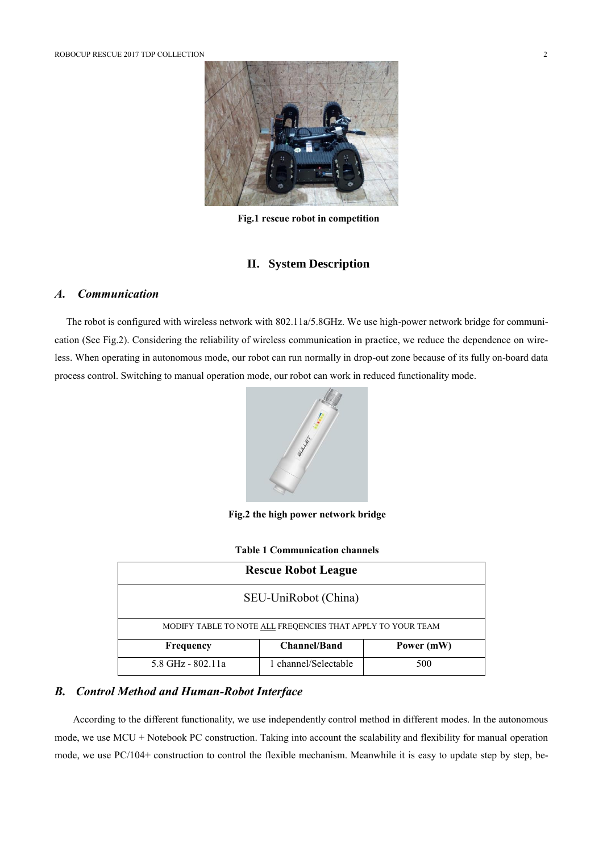

**Fig.1 rescue robot in competition**

## **II. System Description**

# *A. Communication*

The robot is configured with wireless network with 802.11a/5.8GHz. We use high-power network bridge for communication (See Fig.2). Considering the reliability of wireless communication in practice, we reduce the dependence on wireless. When operating in autonomous mode, our robot can run normally in drop-out zone because of its fully on-board data process control. Switching to manual operation mode, our robot can work in reduced functionality mode.



**Fig.2 the high power network bridge**

| <b>Rescue Robot League</b>                                  |                      |            |  |  |
|-------------------------------------------------------------|----------------------|------------|--|--|
| SEU-UniRobot (China)                                        |                      |            |  |  |
| MODIFY TABLE TO NOTE ALL FREQENCIES THAT APPLY TO YOUR TEAM |                      |            |  |  |
| Frequency                                                   | <b>Channel/Band</b>  | Power (mW) |  |  |
| 5.8 GHz - 802.11a                                           | 1 channel/Selectable | 500        |  |  |

## *B. Control Method and Human-Robot Interface*

According to the different functionality, we use independently control method in different modes. In the autonomous mode, we use MCU + Notebook PC construction. Taking into account the scalability and flexibility for manual operation mode, we use PC/104+ construction to control the flexible mechanism. Meanwhile it is easy to update step by step, be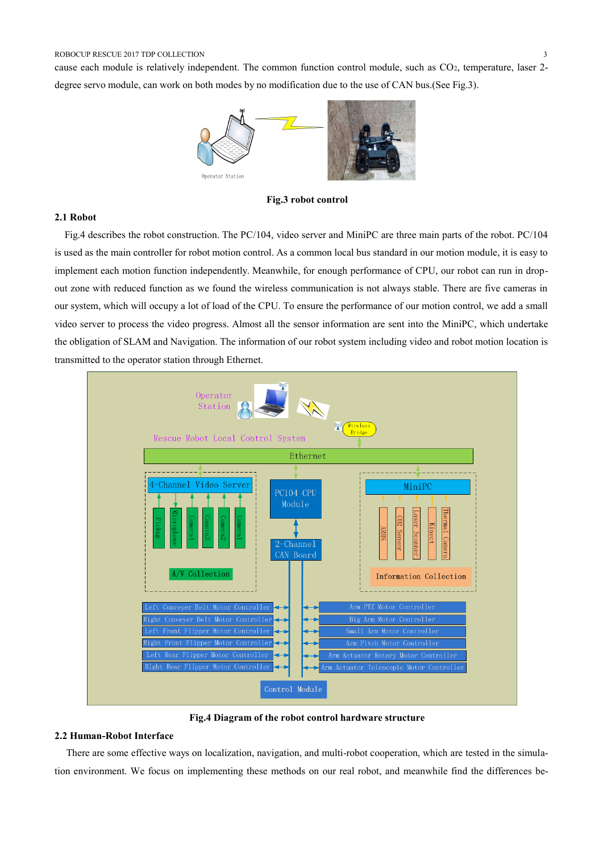cause each module is relatively independent. The common function control module, such as CO2, temperature, laser 2 degree servo module, can work on both modes by no modification due to the use of CAN bus.(See Fig.3).



**Fig.3 robot control**

#### **2.1 Robot**

Fig.4 describes the robot construction. The PC/104, video server and MiniPC are three main parts of the robot. PC/104 is used as the main controller for robot motion control. As a common local bus standard in our motion module, it is easy to implement each motion function independently. Meanwhile, for enough performance of CPU, our robot can run in dropout zone with reduced function as we found the wireless communication is not always stable. There are five cameras in our system, which will occupy a lot of load of the CPU. To ensure the performance of our motion control, we add a small video server to process the video progress. Almost all the sensor information are sent into the MiniPC, which undertake the obligation of SLAM and Navigation. The information of our robot system including video and robot motion location is transmitted to the operator station through Ethernet.



**Fig.4 Diagram of the robot control hardware structure**

### **2.2 Human-Robot Interface**

There are some effective ways on localization, navigation, and multi-robot cooperation, which are tested in the simulation environment. We focus on implementing these methods on our real robot, and meanwhile find the differences be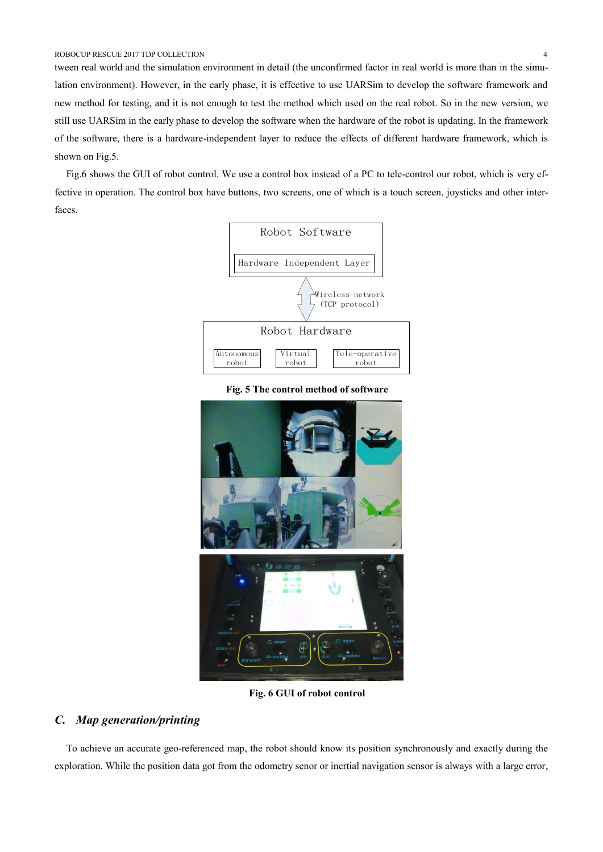tween real world and the simulation environment in detail (the unconfirmed factor in real world is more than in the simulation environment). However, in the early phase, it is effective to use UARSim to develop the software framework and new method for testing, and it is not enough to test the method which used on the real robot. So in the new version, we still use UARSim in the early phase to develop the software when the hardware of the robot is updating. In the framework of the software, there is a hardware-independent layer to reduce the effects of different hardware framework, which is shown on Fig.5.

Fig.6 shows the GUI of robot control. We use a control box instead of a PC to tele-control our robot, which is very effective in operation. The control box have buttons, two screens, one of which is a touch screen, joysticks and other interfaces.



**Fig. 5 The control method of software**



**Fig. 6 GUI of robot control**

# *C. Map generation/printing*

To achieve an accurate geo-referenced map, the robot should know its position synchronously and exactly during the exploration. While the position data got from the odometry senor or inertial navigation sensor is always with a large error,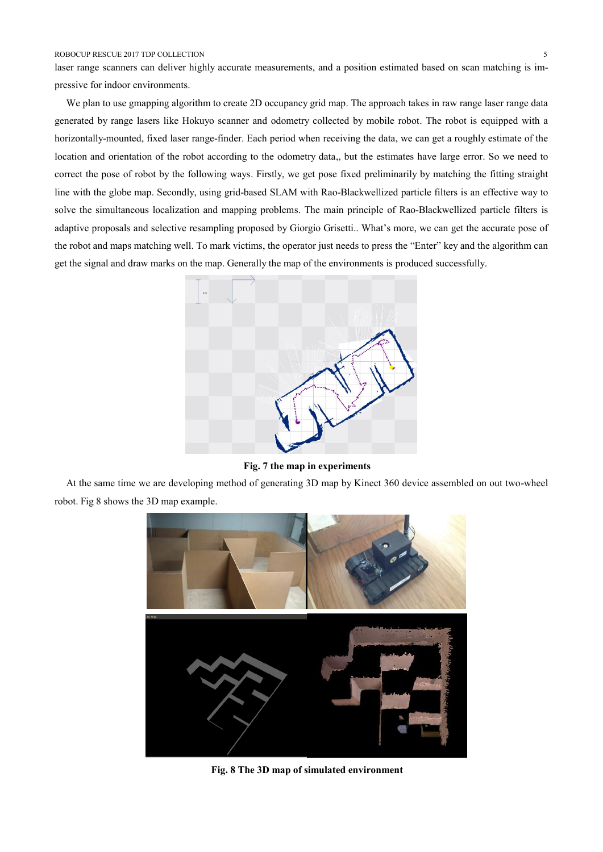laser range scanners can deliver highly accurate measurements, and a position estimated based on scan matching is impressive for indoor environments.

We plan to use gmapping algorithm to create 2D occupancy grid map. The approach takes in raw range laser range data generated by range lasers like Hokuyo scanner and odometry collected by mobile robot. The robot is equipped with a horizontally-mounted, fixed laser range-finder. Each period when receiving the data, we can get a roughly estimate of the location and orientation of the robot according to the odometry data,, but the estimates have large error. So we need to correct the pose of robot by the following ways. Firstly, we get pose fixed preliminarily by matching the fitting straight line with the globe map. Secondly, using grid-based SLAM with Rao-Blackwellized particle filters is an effective way to solve the simultaneous localization and mapping problems. The main principle of Rao-Blackwellized particle filters is adaptive proposals and selective resampling proposed by Giorgio Grisetti.. What's more, we can get the accurate pose of the robot and maps matching well. To mark victims, the operator just needs to press the "Enter" key and the algorithm can get the signal and draw marks on the map. Generally the map of the environments is produced successfully.



**Fig. 7 the map in experiments**

At the same time we are developing method of generating 3D map by Kinect 360 device assembled on out two-wheel robot. Fig 8 shows the 3D map example.



**Fig. 8 The 3D map of simulated environment**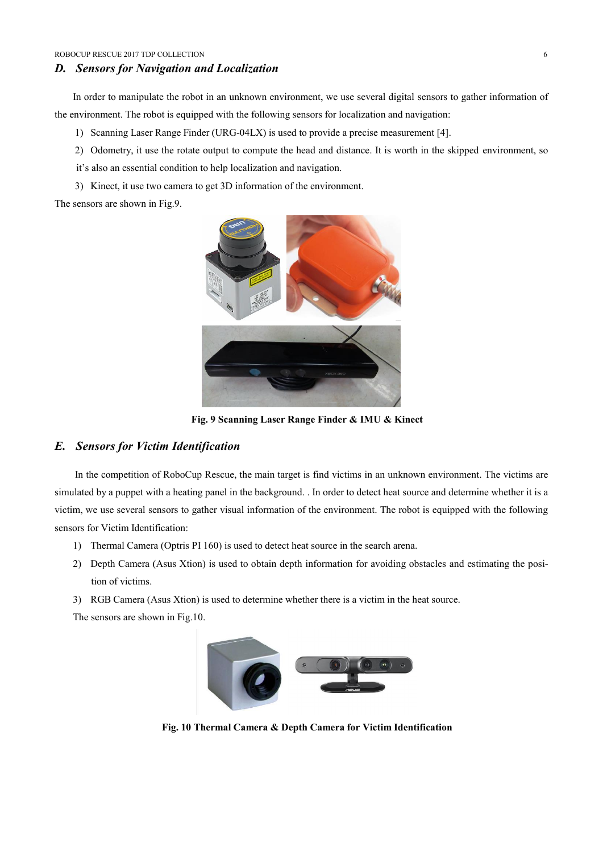#### *D. Sensors for Navigation and Localization*

In order to manipulate the robot in an unknown environment, we use several digital sensors to gather information of the environment. The robot is equipped with the following sensors for localization and navigation:

- 1) Scanning Laser Range Finder (URG-04LX) is used to provide a precise measurement [4].
- 2) Odometry, it use the rotate output to compute the head and distance. It is worth in the skipped environment, so it's also an essential condition to help localization and navigation.
- 3) Kinect, it use two camera to get 3D information of the environment.

The sensors are shown in Fig.9.



**Fig. 9 Scanning Laser Range Finder & IMU & Kinect**

#### *E. Sensors for Victim Identification*

In the competition of RoboCup Rescue, the main target is find victims in an unknown environment. The victims are simulated by a puppet with a heating panel in the background. . In order to detect heat source and determine whether it is a victim, we use several sensors to gather visual information of the environment. The robot is equipped with the following sensors for Victim Identification:

- 1) Thermal Camera (Optris PI 160) is used to detect heat source in the search arena.
- 2) Depth Camera (Asus Xtion) is used to obtain depth information for avoiding obstacles and estimating the position of victims.
- 3) RGB Camera (Asus Xtion) is used to determine whether there is a victim in the heat source.

The sensors are shown in Fig.10.



**Fig. 10 Thermal Camera & Depth Camera for Victim Identification**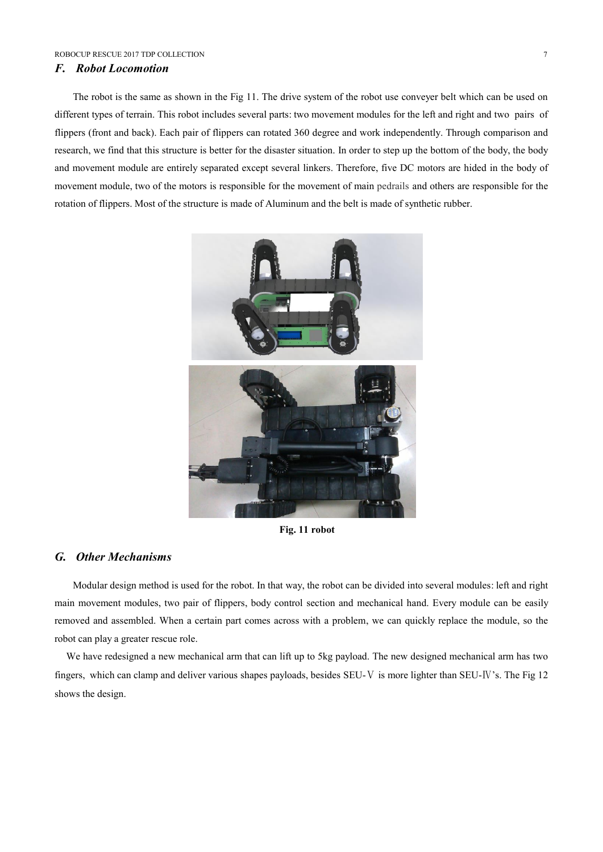#### *F. Robot Locomotion*

The robot is the same as shown in the Fig 11. The drive system of the robot use conveyer belt which can be used on different types of terrain. This robot includes several parts: two movement modules for the left and right and two pairs of flippers (front and back). Each pair of flippers can rotated 360 degree and work independently. Through comparison and research, we find that this structure is better for the disaster situation. In order to step up the bottom of the body, the body and movement module are entirely separated except several linkers. Therefore, five DC motors are hided in the body of movement module, two of the motors is responsible for the movement of main pedrails and others are responsible for the rotation of flippers. Most of the structure is made of Aluminum and the belt is made of synthetic rubber.



**Fig. 11 robot**

#### *G. Other Mechanisms*

Modular design method is used for the robot. In that way, the robot can be divided into several modules: left and right main movement modules, two pair of flippers, body control section and mechanical hand. Every module can be easily removed and assembled. When a certain part comes across with a problem, we can quickly replace the module, so the robot can play a greater rescue role.

We have redesigned a new mechanical arm that can lift up to 5kg payload. The new designed mechanical arm has two fingers, which can clamp and deliver various shapes payloads, besides SEU-V is more lighter than SEU-IV's. The Fig 12 shows the design.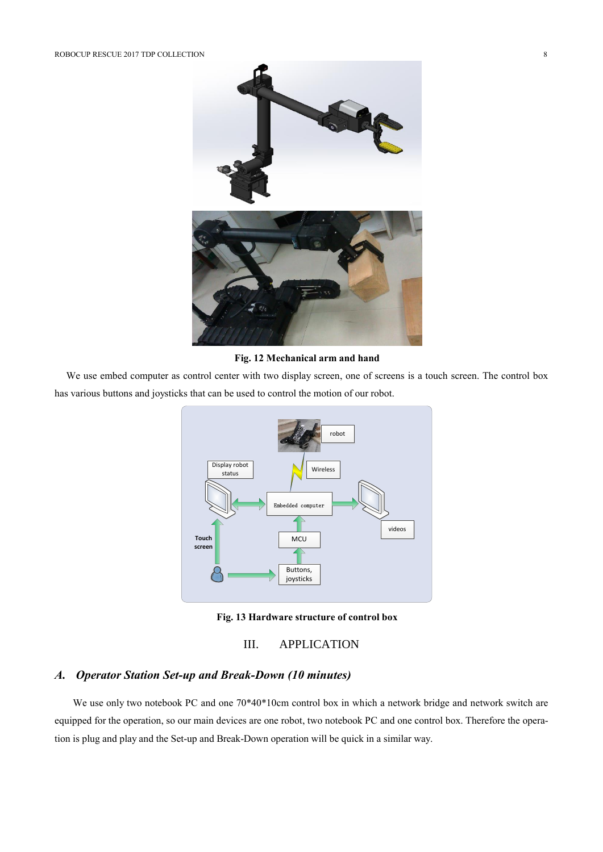

**Fig. 12 Mechanical arm and hand**

We use embed computer as control center with two display screen, one of screens is a touch screen. The control box has various buttons and joysticks that can be used to control the motion of our robot.



**Fig. 13 Hardware structure of control box**

III. APPLICATION

# *A. Operator Station Set-up and Break-Down (10 minutes)*

We use only two notebook PC and one 70\*40\*10cm control box in which a network bridge and network switch are equipped for the operation, so our main devices are one robot, two notebook PC and one control box. Therefore the operation is plug and play and the Set-up and Break-Down operation will be quick in a similar way.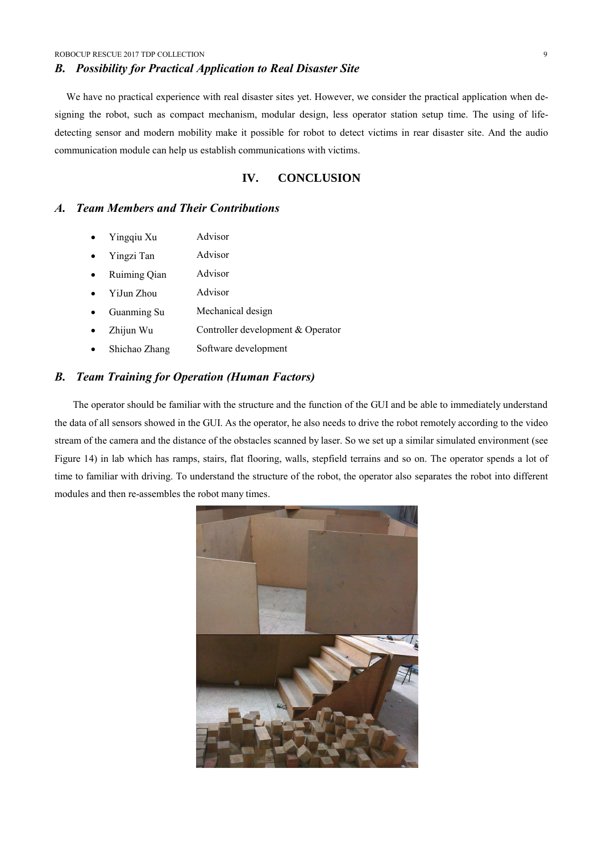### *B. Possibility for Practical Application to Real Disaster Site*

We have no practical experience with real disaster sites yet. However, we consider the practical application when designing the robot, such as compact mechanism, modular design, less operator station setup time. The using of lifedetecting sensor and modern mobility make it possible for robot to detect victims in rear disaster site. And the audio communication module can help us establish communications with victims.

# **IV. CONCLUSION**

# *A. Team Members and Their Contributions*

- Yingqiu Xu Advisor
- Yingzi Tan Advisor
- Ruiming Qian Advisor
- YiJun Zhou Advisor
- Guanming Su Mechanical design
- Zhijun Wu Controller development & Operator
- Shichao Zhang Software development

### *B. Team Training for Operation (Human Factors)*

The operator should be familiar with the structure and the function of the GUI and be able to immediately understand the data of all sensors showed in the GUI. As the operator, he also needs to drive the robot remotely according to the video stream of the camera and the distance of the obstacles scanned by laser. So we set up a similar simulated environment (see Figure 14) in lab which has ramps, stairs, flat flooring, walls, stepfield terrains and so on. The operator spends a lot of time to familiar with driving. To understand the structure of the robot, the operator also separates the robot into different modules and then re-assembles the robot many times.

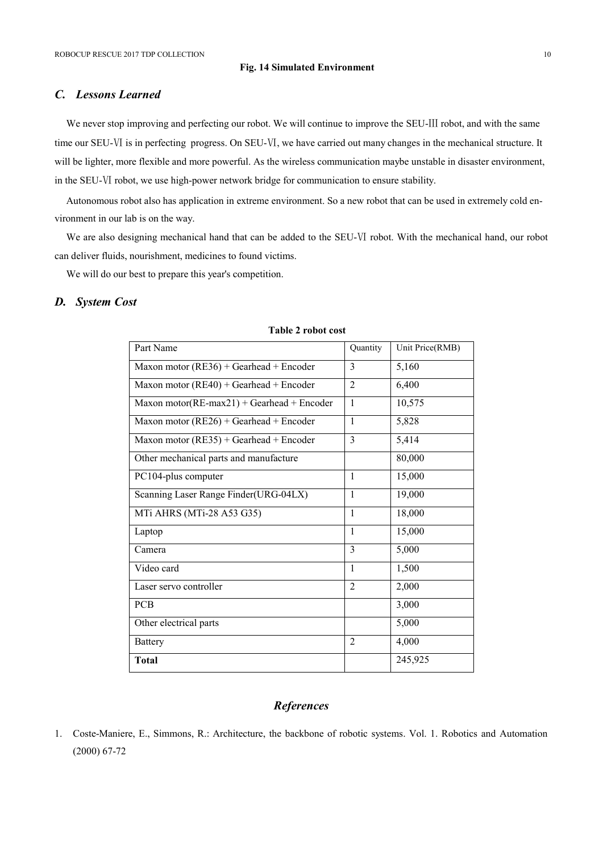#### **Fig. 14 Simulated Environment**

# *C. Lessons Learned*

We never stop improving and perfecting our robot. We will continue to improve the SEU-Ⅲ robot, and with the same time our SEU-Ⅵ is in [perfecti](app:ds:perfect)ng progress. On SEU-Ⅵ, we have carried out many changes in the mechanical structure. It will be lighter, more flexible and more powerful. As the wireless communication maybe unstable in disaster environment, in the SEU-Ⅵ robot, we use high-power network bridge for communication to ensure stability.

Autonomous robot also has application in extreme environment. So a new robot that can be used in extremely cold environment in our lab is on the way.

We are also designing mechanical hand that can be added to the SEU-Ⅵ robot. With the mechanical hand, our robot can deliver fluids, nourishment, medicines to found victims.

We will do our best to prepare this year's competition.

#### *D. System Cost*

| Part Name                                      | Quantity       | Unit Price(RMB) |
|------------------------------------------------|----------------|-----------------|
| Maxon motor (RE36) + Gearhead + Encoder        | 3              | 5,160           |
| Maxon motor $(RE40) + Gearhead + Encoder$      | $\overline{2}$ | 6,400           |
| Maxon motor( $RE$ -max21) + Gearhead + Encoder | 1              | 10,575          |
| Maxon motor $(RE26) + Gearhead + Encoder$      | $\mathbf{1}$   | 5,828           |
| Maxon motor $(RE35) + Gearhead + Encoder$      | 3              | 5,414           |
| Other mechanical parts and manufacture         |                | 80,000          |
| PC104-plus computer                            | 1              | 15,000          |
| Scanning Laser Range Finder(URG-04LX)          | 1              | 19,000          |
| MTi AHRS (MTi-28 A53 G35)                      | $\mathbf{1}$   | 18,000          |
| Laptop                                         | $\mathbf{1}$   | 15,000          |
| Camera                                         | 3              | 5,000           |
| Video card                                     | $\mathbf{1}$   | 1,500           |
| Laser servo controller                         | $\overline{2}$ | 2,000           |
| <b>PCB</b>                                     |                | 3,000           |
| Other electrical parts                         |                | 5,000           |
| <b>Battery</b>                                 | $\overline{2}$ | 4,000           |
| <b>Total</b>                                   |                | 245,925         |

#### **Table 2 robot cost**

# *References*

1. Coste-Maniere, E., Simmons, R.: Architecture, the backbone of robotic systems. Vol. 1. Robotics and Automation (2000) 67-72